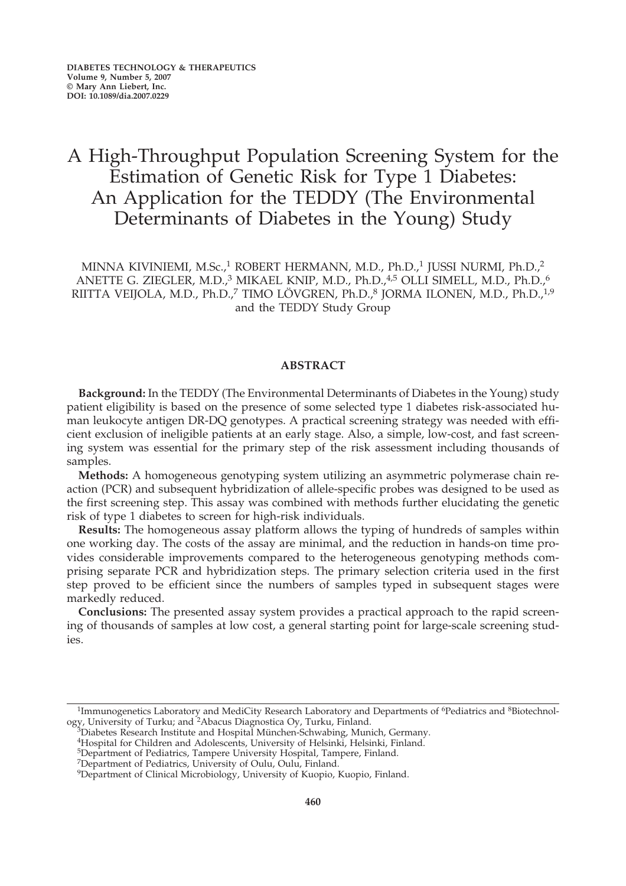# A High-Throughput Population Screening System for the Estimation of Genetic Risk for Type 1 Diabetes: An Application for the TEDDY (The Environmental Determinants of Diabetes in the Young) Study

MINNA KIVINIEMI, M.Sc.,<sup>1</sup> ROBERT HERMANN, M.D., Ph.D.,<sup>1</sup> JUSSI NURMI, Ph.D.,<sup>2</sup> ANETTE G. ZIEGLER, M.D.,<sup>3</sup> MIKAEL KNIP, M.D., Ph.D.,<sup>4,5</sup> OLLI SIMELL, M.D., Ph.D.,<sup>6</sup> RIITTA VEIJOLA, M.D., Ph.D.,<sup>7</sup> TIMO LÖVGREN, Ph.D.,<sup>8</sup> JORMA ILONEN, M.D., Ph.D.,<sup>1,9</sup> and the TEDDY Study Group

# **ABSTRACT**

**Background:** In the TEDDY (The Environmental Determinants of Diabetes in the Young) study patient eligibility is based on the presence of some selected type 1 diabetes risk-associated human leukocyte antigen DR-DQ genotypes. A practical screening strategy was needed with efficient exclusion of ineligible patients at an early stage. Also, a simple, low-cost, and fast screening system was essential for the primary step of the risk assessment including thousands of samples.

**Methods:** A homogeneous genotyping system utilizing an asymmetric polymerase chain reaction (PCR) and subsequent hybridization of allele-specific probes was designed to be used as the first screening step. This assay was combined with methods further elucidating the genetic risk of type 1 diabetes to screen for high-risk individuals.

**Results:** The homogeneous assay platform allows the typing of hundreds of samples within one working day. The costs of the assay are minimal, and the reduction in hands-on time provides considerable improvements compared to the heterogeneous genotyping methods comprising separate PCR and hybridization steps. The primary selection criteria used in the first step proved to be efficient since the numbers of samples typed in subsequent stages were markedly reduced.

**Conclusions:** The presented assay system provides a practical approach to the rapid screening of thousands of samples at low cost, a general starting point for large-scale screening studies.

<sup>&</sup>lt;sup>1</sup>Immunogenetics Laboratory and MediCity Research Laboratory and Departments of <sup>6</sup>Pediatrics and <sup>8</sup>Biotechnology, University of Turku; and <sup>2</sup>Abacus Diagnostica Oy, Turku, Finland.<br><sup>3</sup>Diabetes Research Institute and Hospital München-Schwabing, Munich, Germany.<br><sup>4</sup>Hospital for Children and Adolescents, University of Helsinki, Hels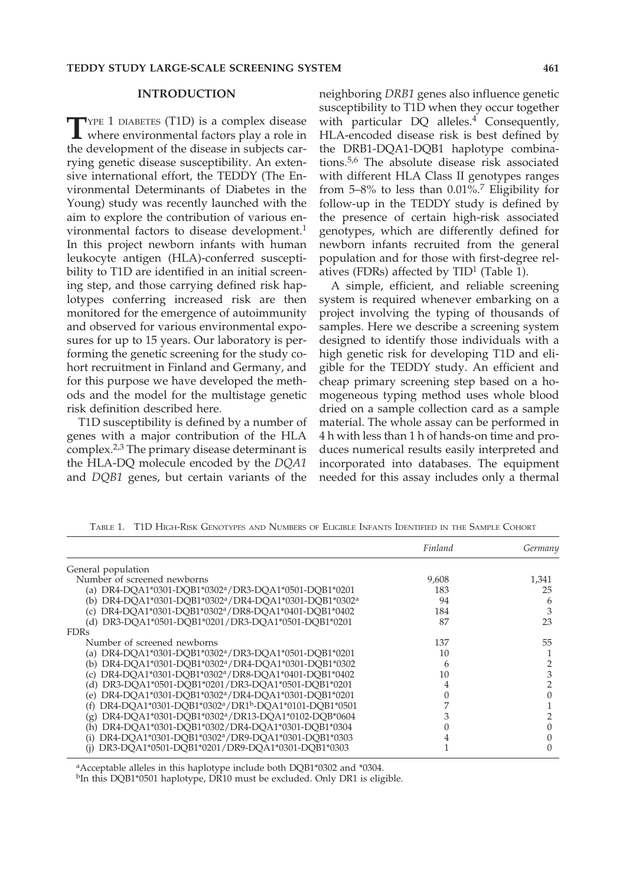#### **INTRODUCTION**

TYPE 1 DIABETES (T1D) is a complex disease<br>where environmental factors play a role in the development of the disease in subjects carrying genetic disease susceptibility. An extensive international effort, the TEDDY (The Environmental Determinants of Diabetes in the Young) study was recently launched with the aim to explore the contribution of various environmental factors to disease development.<sup>1</sup> In this project newborn infants with human leukocyte antigen (HLA)-conferred susceptibility to T1D are identified in an initial screening step, and those carrying defined risk haplotypes conferring increased risk are then monitored for the emergence of autoimmunity and observed for various environmental exposures for up to 15 years. Our laboratory is performing the genetic screening for the study cohort recruitment in Finland and Germany, and for this purpose we have developed the methods and the model for the multistage genetic risk definition described here.

T1D susceptibility is defined by a number of genes with a major contribution of the HLA complex.2,3 The primary disease determinant is the HLA-DQ molecule encoded by the *DQA1* and *DQB1* genes, but certain variants of the neighboring *DRB1* genes also influence genetic susceptibility to T1D when they occur together with particular  $DO$  alleles.<sup>4</sup> Consequently, HLA-encoded disease risk is best defined by the DRB1-DQA1-DQB1 haplotype combinations.5,6 The absolute disease risk associated with different HLA Class II genotypes ranges from  $5-8\%$  to less than 0.01%.<sup>7</sup> Eligibility for follow-up in the TEDDY study is defined by the presence of certain high-risk associated genotypes, which are differently defined for newborn infants recruited from the general population and for those with first-degree relatives (FDRs) affected by  $TID<sup>1</sup>$  (Table 1).

A simple, efficient, and reliable screening system is required whenever embarking on a project involving the typing of thousands of samples. Here we describe a screening system designed to identify those individuals with a high genetic risk for developing T1D and eligible for the TEDDY study. An efficient and cheap primary screening step based on a homogeneous typing method uses whole blood dried on a sample collection card as a sample material. The whole assay can be performed in 4 h with less than 1 h of hands-on time and produces numerical results easily interpreted and incorporated into databases. The equipment needed for this assay includes only a thermal

|                                                                                    | Finland | Germany |
|------------------------------------------------------------------------------------|---------|---------|
| General population                                                                 |         |         |
| Number of screened newborns                                                        | 9,608   | 1,341   |
| (a) DR4-DQA1*0301-DQB1*0302 <sup>a</sup> /DR3-DQA1*0501-DQB1*0201                  | 183     | 25      |
| (b) DR4-DQA1*0301-DQB1*0302 <sup>a</sup> /DR4-DQA1*0301-DQB1*0302 <sup>a</sup>     | 94      | h       |
| DR4-DQA1*0301-DQB1*0302 <sup>a</sup> /DR8-DQA1*0401-DQB1*0402<br>(C)               | 184     | 3       |
| (d) DR3-DQA1*0501-DQB1*0201/DR3-DQA1*0501-DQB1*0201                                | 87      | 23      |
| <b>FDRs</b>                                                                        |         |         |
| Number of screened newborns                                                        | 137     | 55      |
| (a) DR4-DQA1*0301-DQB1*0302 <sup>a</sup> /DR3-DQA1*0501-DQB1*0201                  | 10      |         |
| (b) DR4-DQA1*0301-DQB1*0302 <sup>a</sup> /DR4-DQA1*0301-DQB1*0302                  | 6       |         |
| DR4-DQA1*0301-DQB1*0302 <sup>a</sup> /DR8-DQA1*0401-DQB1*0402<br>$\left( c\right)$ | 10      |         |
| (d) DR3-DQA1*0501-DQB1*0201/DR3-DQA1*0501-DQB1*0201                                |         |         |
| (e) DR4-DQA1*0301-DQB1*0302 <sup>a</sup> /DR4-DQA1*0301-DQB1*0201                  |         |         |
| (f) DR4-DQA1*0301-DQB1*0302a/DR1b-DQA1*0101-DQB1*0501                              |         |         |
| DR4-DQA1*0301-DQB1*0302 <sup>a</sup> /DR13-DQA1*0102-DQB*0604<br>(g)               |         |         |
| DR4-DQA1*0301-DQB1*0302/DR4-DQA1*0301-DQB1*0304<br>(h)                             |         |         |
| (i) DR4-DQA1*0301-DQB1*0302 <sup>a</sup> /DR9-DQA1*0301-DQB1*0303                  | 4       |         |
| DR3-DQA1*0501-DQB1*0201/DR9-DQA1*0301-DQB1*0303<br>(1)                             |         |         |

TABLE 1. T1D HIGH-RISK GENOTYPES AND NUMBERS OF ELIGIBLE INFANTS IDENTIFIED IN THE SAMPLE COHORT

aAcceptable alleles in this haplotype include both DQB1\*0302 and \*0304.

<sup>b</sup>In this DQB1\*0501 haplotype, DR10 must be excluded. Only DR1 is eligible.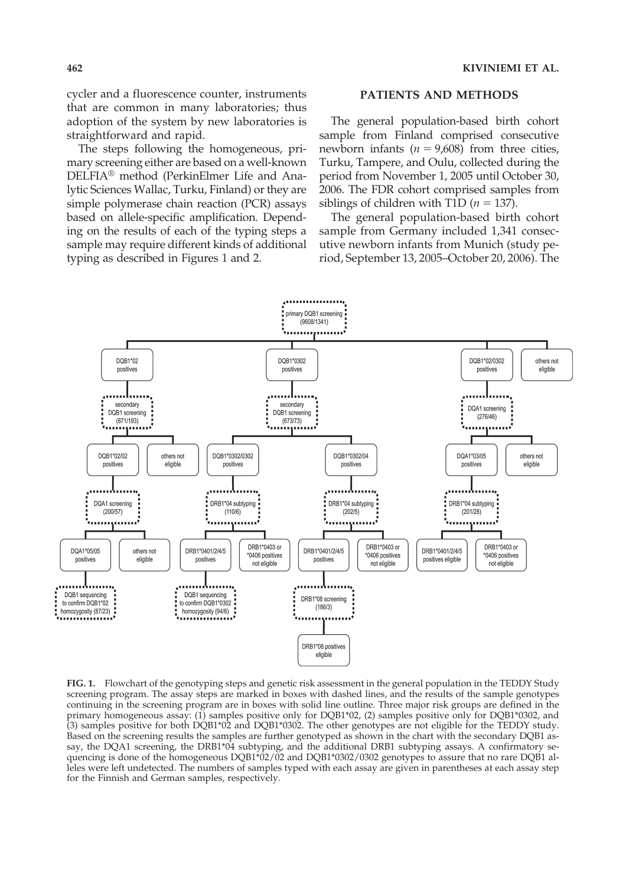cycler and a fluorescence counter, instruments that are common in many laboratories; thus adoption of the system by new laboratories is straightforward and rapid.

The steps following the homogeneous, primary screening either are based on a well-known DELFIA® method (PerkinElmer Life and Analytic Sciences Wallac, Turku, Finland) or they are simple polymerase chain reaction (PCR) assays based on allele-specific amplification. Depending on the results of each of the typing steps a sample may require different kinds of additional typing as described in Figures 1 and 2.

#### **PATIENTS AND METHODS**

The general population-based birth cohort sample from Finland comprised consecutive newborn infants  $(n = 9,608)$  from three cities, Turku, Tampere, and Oulu, collected during the period from November 1, 2005 until October 30, 2006. The FDR cohort comprised samples from siblings of children with T1D  $(n = 137)$ .

The general population-based birth cohort sample from Germany included 1,341 consecutive newborn infants from Munich (study period, September 13, 2005–October 20, 2006). The



**FIG. 1.** Flowchart of the genotyping steps and genetic risk assessment in the general population in the TEDDY Study screening program. The assay steps are marked in boxes with dashed lines, and the results of the sample genotypes continuing in the screening program are in boxes with solid line outline. Three major risk groups are defined in the primary homogeneous assay: (1) samples positive only for DQB1\*02, (2) samples positive only for DQB1\*0302, and (3) samples positive for both DQB1\*02 and DQB1\*0302. The other genotypes are not eligible for the TEDDY study. Based on the screening results the samples are further genotyped as shown in the chart with the secondary DQB1 assay, the DQA1 screening, the DRB1\*04 subtyping, and the additional DRB1 subtyping assays. A confirmatory sequencing is done of the homogeneous DQB1<sup>\*</sup>02/02 and DQB1<sup>\*</sup>0302/0302 genotypes to assure that no rare DQB1 alleles were left undetected. The numbers of samples typed with each assay are given in parentheses at each assay step for the Finnish and German samples, respectively.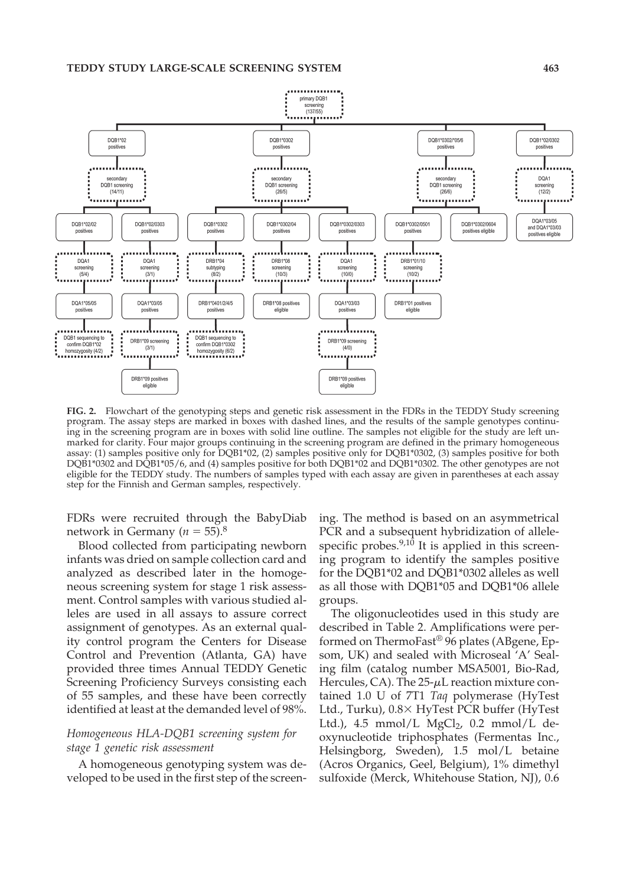

**FIG. 2.** Flowchart of the genotyping steps and genetic risk assessment in the FDRs in the TEDDY Study screening program. The assay steps are marked in boxes with dashed lines, and the results of the sample genotypes continuing in the screening program are in boxes with solid line outline. The samples not eligible for the study are left unmarked for clarity. Four major groups continuing in the screening program are defined in the primary homogeneous assay: (1) samples positive only for DQB1\*02, (2) samples positive only for DQB1\*0302, (3) samples positive for both DQB1\*0302 and DQB1\*05/6, and (4) samples positive for both DQB1\*02 and DQB1\*0302. The other genotypes are not eligible for the TEDDY study. The numbers of samples typed with each assay are given in parentheses at each assay step for the Finnish and German samples, respectively.

FDRs were recruited through the BabyDiab network in Germany ( $n = 55$ ).<sup>8</sup>

Blood collected from participating newborn infants was dried on sample collection card and analyzed as described later in the homogeneous screening system for stage 1 risk assessment. Control samples with various studied alleles are used in all assays to assure correct assignment of genotypes. As an external quality control program the Centers for Disease Control and Prevention (Atlanta, GA) have provided three times Annual TEDDY Genetic Screening Proficiency Surveys consisting each of 55 samples, and these have been correctly identified at least at the demanded level of 98%.

# *Homogeneous HLA-DQB1 screening system for stage 1 genetic risk assessment*

A homogeneous genotyping system was developed to be used in the first step of the screening. The method is based on an asymmetrical PCR and a subsequent hybridization of allelespecific probes. $9,10$  It is applied in this screening program to identify the samples positive for the DQB1\*02 and DQB1\*0302 alleles as well as all those with DQB1\*05 and DQB1\*06 allele groups.

The oligonucleotides used in this study are described in Table 2. Amplifications were performed on ThermoFast® 96 plates (ABgene, Epsom, UK) and sealed with Microseal 'A' Sealing film (catalog number MSA5001, Bio-Rad, Hercules, CA). The  $25-\mu L$  reaction mixture contained 1.0 U of 7T1 *Taq* polymerase (HyTest Ltd., Turku),  $0.8 \times$  HyTest PCR buffer (HyTest Ltd.),  $4.5 \text{ mmol/L MgCl}_2$ , 0.2 mmol/L deoxynucleotide triphosphates (Fermentas Inc., Helsingborg, Sweden), 1.5 mol/L betaine (Acros Organics, Geel, Belgium), 1% dimethyl sulfoxide (Merck, Whitehouse Station, NJ), 0.6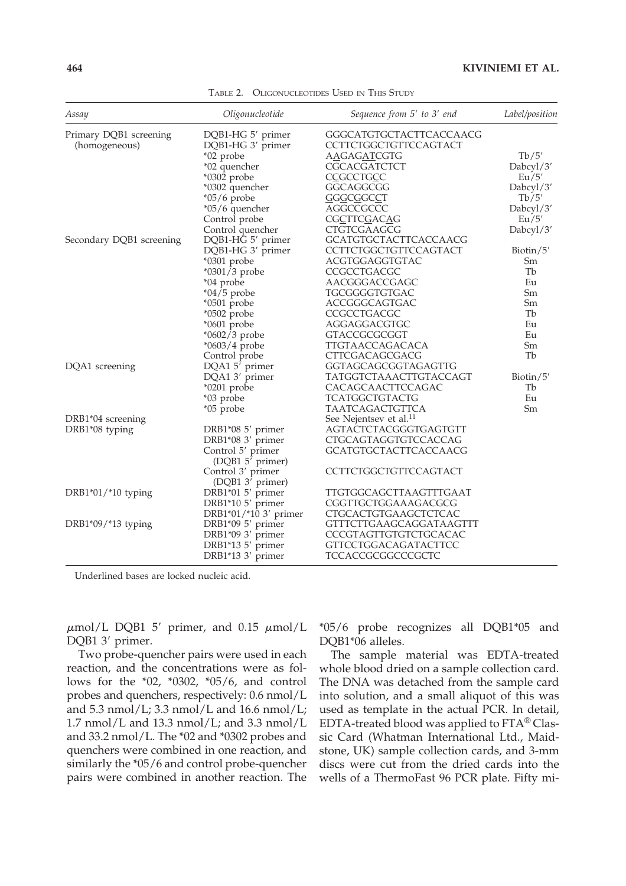| Assay                    | Oligonucleotide                                   | Sequence from 5' to 3' end         | Label/position |
|--------------------------|---------------------------------------------------|------------------------------------|----------------|
| Primary DQB1 screening   | DQB1-HG 5' primer                                 | GGGCATGTGCTACTTCACCAACG            |                |
| (homogeneous)            | DQB1-HG 3' primer                                 | CCTTCTGGCTGTTCCAGTACT              |                |
|                          | *02 probe                                         | AAGAGATCGTG                        | Tb/5'          |
|                          | *02 quencher                                      | CGCACGATCTCT                       | Dabcyl/3'      |
|                          | *0302 probe                                       | <b>CCGCCTGCC</b>                   | Eu/5'          |
|                          | *0302 quencher                                    | GGCAGGCGG                          | Dabcyl/3'      |
|                          | $*05/6$ probe                                     | <b>GGGCGGCCT</b>                   | Tb/5'          |
|                          | $*05/6$ quencher                                  | AGGCCGCCC                          | Dabcyl/3'      |
|                          | Control probe                                     | <b>CGCTTCGACAG</b>                 | Eu/5'          |
|                          | Control quencher                                  | CTGTCGAAGCG                        | Dabcyl/3'      |
| Secondary DQB1 screening | DQB1-HG 5' primer                                 | <b>GCATGTGCTACTTCACCAACG</b>       |                |
|                          | DQB1-HG 3' primer                                 | CCTTCTGGCTGTTCCAGTACT              | Biotin/5'      |
|                          | $*0301$ probe                                     | ACGTGGAGGTGTAC                     | Sm             |
|                          | $*0301/3$ probe                                   | CCGCCTGACGC                        | Tb             |
|                          | *04 probe                                         | AACGGGACCGAGC                      | Eu             |
|                          | $*04/5$ probe                                     | TGCGGGGTGTGAC                      | Sm             |
|                          | *0501 probe                                       | ACCGGGCAGTGAC                      | Sm             |
|                          | *0502 probe                                       | CCGCCTGACGC                        | Tb             |
|                          | $*0601$ probe                                     | AGGAGGACGTGC                       | Eu             |
|                          | *0602/3 probe                                     | GTACCGCGCGGT                       | Eu             |
|                          | $*0603/4$ probe                                   | TTGTAACCAGACACA                    | Sm             |
|                          | Control probe                                     | CTTCGACAGCGACG                     | Tb             |
| DQA1 screening           | DQA1 5' primer                                    | GGTAGCAGCGGTAGAGTTG                |                |
|                          | DQA1 3' primer                                    | TATGGTCTAAACTTGTACCAGT             | Biotin/ $5'$   |
|                          | $*0201$ probe                                     | CACAGCAACTTCCAGAC                  | Tb             |
|                          | *03 probe                                         | TCATGGCTGTACTG                     | Eu             |
|                          | *05 probe                                         | TAATCAGACTGTTCA                    | Sm             |
| DRB1*04 screening        |                                                   | See Nejentsev et al. <sup>11</sup> |                |
| DRB1*08 typing           | DRB1*08 5' primer                                 | AGTACTCTACGGGTGAGTGTT              |                |
|                          | DRB1*08 3' primer                                 | CTGCAGTAGGTGTCCACCAG               |                |
|                          | Control 5' primer                                 | GCATGTGCTACTTCACCAACG              |                |
|                          | (DQB1 5' primer)                                  |                                    |                |
|                          | Control 3' primer<br>(DQB1 3 <sup>7</sup> primer) | CCTTCTGGCTGTTCCAGTACT              |                |
| DRB1*01/*10 typing       | DRB1*01 5' primer                                 | TTGTGGCAGCTTAAGTTTGAAT             |                |
|                          | DRB1*10 5' primer                                 | CGGTTGCTGGAAAGACGCG                |                |
|                          | DRB1*01/*10 3' primer                             | CTGCACTGTGAAGCTCTCAC               |                |
| DRB1*09/*13 typing       | DRB1*09 5' primer                                 | <b>GTTTCTTGAAGCAGGATAAGTTT</b>     |                |
|                          | DRB1*09 3' primer                                 | CCCGTAGTTGTGTCTGCACAC              |                |
|                          | DRB1*13 5' primer                                 | <b>GTTCCTGGACAGATACTTCC</b>        |                |
|                          | DRB1*13 3' primer                                 | TCCACCGCGGCCCGCTC                  |                |
|                          |                                                   |                                    |                |

TABLE 2. OLIGONUCLEOTIDES USED IN THIS STUDY

Underlined bases are locked nucleic acid.

 $\mu$ mol/L DQB1 5' primer, and 0.15  $\mu$ mol/L DQB1 3' primer.

Two probe-quencher pairs were used in each reaction, and the concentrations were as follows for the \*02, \*0302, \*05/6, and control probes and quenchers, respectively: 0.6 nmol/L and  $5.3$  nmol/L;  $3.3$  nmol/L and  $16.6$  nmol/L;  $1.7$  nmol/L and  $13.3$  nmol/L; and  $3.3$  nmol/L and 33.2 nmol/L. The \*02 and \*0302 probes and quenchers were combined in one reaction, and similarly the \*05/6 and control probe-quencher pairs were combined in another reaction. The

\*05/6 probe recognizes all DQB1\*05 and DQB1\*06 alleles.

The sample material was EDTA-treated whole blood dried on a sample collection card. The DNA was detached from the sample card into solution, and a small aliquot of this was used as template in the actual PCR. In detail, EDTA-treated blood was applied to FTA® Classic Card (Whatman International Ltd., Maidstone, UK) sample collection cards, and 3-mm discs were cut from the dried cards into the wells of a ThermoFast 96 PCR plate. Fifty mi-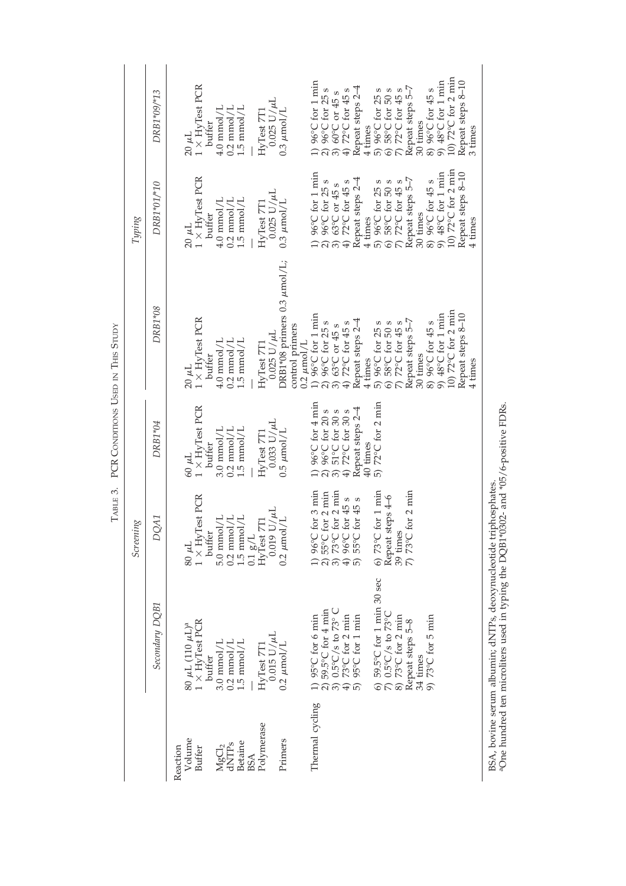|                                                 |                                                                                                                                   | Screening                                                                                                         |                                                                                                               |                                                                                                                                                                                                   | Typing                                                                                                                                                                                            |                                                                                                                                                                                                                         |
|-------------------------------------------------|-----------------------------------------------------------------------------------------------------------------------------------|-------------------------------------------------------------------------------------------------------------------|---------------------------------------------------------------------------------------------------------------|---------------------------------------------------------------------------------------------------------------------------------------------------------------------------------------------------|---------------------------------------------------------------------------------------------------------------------------------------------------------------------------------------------------|-------------------------------------------------------------------------------------------------------------------------------------------------------------------------------------------------------------------------|
|                                                 | Secondary DQB1                                                                                                                    | DQA1                                                                                                              | DRB1*04                                                                                                       | DRB1*08                                                                                                                                                                                           | DRB1*01/*10                                                                                                                                                                                       | DRB1*09/*13                                                                                                                                                                                                             |
| Volume<br>Reaction<br>Buffer                    | $1 \times$ HyTest PCR<br>$60 \mu L (110 \mu L)^a$<br>$3.0 \text{ mmol/L}$<br>buffer                                               | $1 \times$ HyTest PCR<br>$5.0$ mmol/L<br>buffer<br>$30 \mu L$                                                     | $1 \times$ HyTest PCR<br>$3.0$ mmol/L<br>buffer<br>$-140$                                                     | $1 \times$ HyTest PCR<br>$4.0$ mmol/L<br>buffer<br>$20 \mu L$                                                                                                                                     | $1 \times$ HyTest PCR<br>$4.0 \text{ mmol/L}$<br>buffer<br>$20 \mu L$                                                                                                                             | $1 \times$ HyTest PCR<br>buffer<br>$20 \mu L$                                                                                                                                                                           |
| Betaine<br>${MgCl}_2 \over dNTPs$<br><b>BSA</b> | $0.2$ mmol/L $1.5$ mmol/L                                                                                                         | $0.2~{\rm mmol/L}$<br>$1.5~{\rm mmol/L}$<br>$0.1~{\rm g/L}$ HyTest 7T1                                            | $0.2$ mmol/L<br>$1.5~{\rm mmol/L}$                                                                            | $0.2$ mmol/L<br>$1.5~{\rm mmol/L}$                                                                                                                                                                | $0.2 \text{ mmol/L}$<br>$1.5 \text{ mmol/L}$                                                                                                                                                      | $\begin{array}{l} 4.0 \text{ mmol/L} \\ 0.2 \text{ mmol/L} \\ 1.5 \text{ mmol/L} \end{array}$                                                                                                                           |
| Polymerase<br>Primers                           | $0.015$ U/ $\mu$ L<br>$0.2 \mu$ mol/L<br>HyTest 7T1                                                                               | $0.019$ U/ $\mu L$<br>0.2 $\mu \text{mol/L}$                                                                      | $0.033$ U/ $\mu$ L<br>$0.5 \mu$ mol/L<br>HyTest 7T1                                                           | DRB1*08 primers 0.3 µmol/L;<br>control primers<br>$0.025$ U/ $\mu$ L<br>$0.2 \ \mu$ mol/L<br>HvTest 7T1                                                                                           | $0.025$ U/ $\mu$ L<br>$0.3 \mu$ mol/L<br>HyTest 7T1                                                                                                                                               | $0.025$ $U/\mu L$<br>$0.3 \mu$ mol/L<br>$HvTest$ $7T1$                                                                                                                                                                  |
| Thermal cycling                                 | 1) 95°C for 6 min<br>2) 59.5°C for 4 min<br>3) 0.5°C/s to 73°C<br>4) 73°C for 2 min<br>5) 95°C for 1 min                          | 1) 96°C for 3 min<br>2) 55°C for 2 min<br>3) 73°C for 2 min<br>4) 96°C for 45 s<br>55°C for 45 s<br>$\widehat{5}$ | 1) 96°C for 4 min<br>2) 96°C for 20 s<br>3) 51°C for 30 s<br>4) 72°C for 30 s<br>Repeat steps 2-4<br>40 times | 1) $96^{\circ}$ C for 1 min<br>Repeat steps 2-4<br>2) $96^{\circ}$ C for 25 s<br>3) $63^{\circ}$ C or 45 s<br>4) 72 °C for 45 s<br>4 times                                                        | 1) 96°C for 1 min<br>2) 96°C for 25 s<br>3) 63°C or 45 s<br>4) 72°C for 45 s<br>Repeat steps 2-4<br>4 times                                                                                       | 1) 96°C for 1 min<br>2) 96°C for 25 s<br>3) 60°C or 45 s<br>4) 72°C for 45 s<br>Repeat steps 2-4<br>$4 \text{ times}$                                                                                                   |
|                                                 | 6) 59.5°C for 1 min 30 sec 7) 0.5°C/s to 73°C<br>8) 73°C for 2 min<br>9) $73^{\circ}$ C for 5 min<br>Repeat steps 5–8<br>34 times | 6) $73^{\circ}$ C for 1 min<br>Repeat steps $4-6$<br>39 times<br>7) 73°C for 2 min                                | 5) $72^{\circ}$ C for 2 min                                                                                   | 10) 72°C for 2 min<br>8) 96°C for 45 s<br>9) 48°C for 1 min<br>Repeat steps 8-10<br>Repeat steps 5-7<br>5) $96^{\circ}$ C for 25 s<br>6) 58°C for 50 s<br>7) 72°C for 45 s<br>30 times<br>4 times | 10) 72°C for 2 min<br>Repeat steps 8-10<br>9) 48°C for 1 min<br>Repeat steps 5-7<br>30 times<br>5) $96^{\circ}$ C for 25 s<br>6) 58°C for 50 s<br>7) 72°C for 45 s<br>8) 96°C for 45 s<br>4 times | 10) 72°C for 2 min<br>Repeat steps 8-10<br>8) $96^{\circ}$ C for $45 s$<br>9) $48^{\circ}$ C for 1 min<br>Repeat steps 5-7<br>30 times<br>5) $96^{\circ}$ C for 25 s<br>6) 58°C for 50 s<br>7) 72°C for 45 s<br>3 times |

TABLE 3. PCR **CONDITIONS** TABLE 3. PCR CONDITIONS USED IN THIS STUDY THIS STUDY

BSA, bovine serum albumin; dNTPs, deoxynucleotide triphosphates.<br>aOne hundred ten microliters used in typing the DQB1\*0302- and \*05/6-positive FDRs. BSA, bovine serum albumin; dNTPs, deoxynucleotide triphosphates.<br><sup>a</sup>One hundred ten microliters used in typing the DQB1\*0302- and \*05/6-positive FDRs.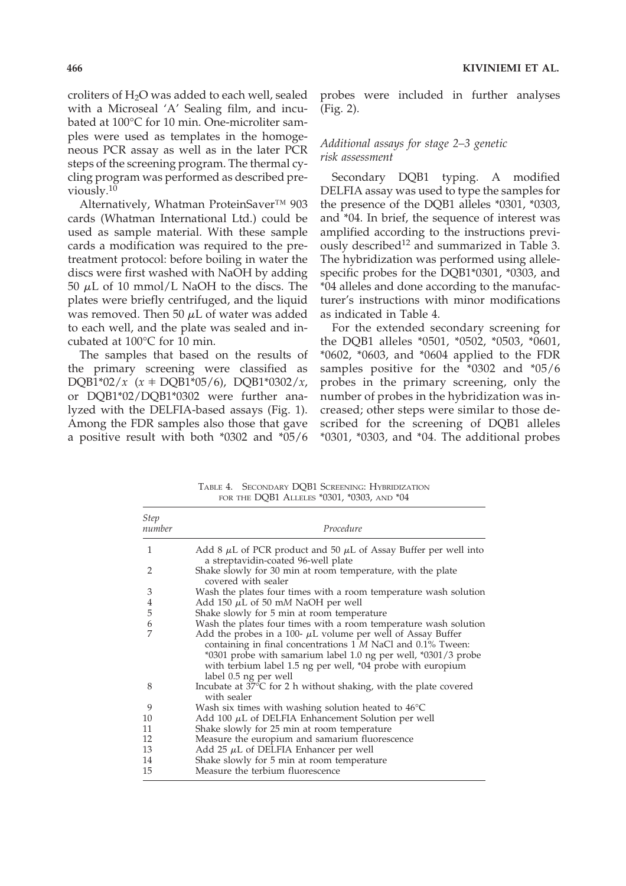croliters of  $H_2O$  was added to each well, sealed with a Microseal 'A' Sealing film, and incubated at 100°C for 10 min. One-microliter samples were used as templates in the homogeneous PCR assay as well as in the later PCR steps of the screening program. The thermal cycling program was performed as described previously.10

Alternatively, Whatman ProteinSaver™ 903 cards (Whatman International Ltd.) could be used as sample material. With these sample cards a modification was required to the pretreatment protocol: before boiling in water the discs were first washed with NaOH by adding 50  $\mu$ L of 10 mmol/L NaOH to the discs. The plates were briefly centrifuged, and the liquid was removed. Then 50  $\mu$ L of water was added to each well, and the plate was sealed and incubated at 100°C for 10 min.

The samples that based on the results of the primary screening were classified as  $DQB1*02/x$  ( $x \neq DQB1*05/6$ ),  $DQB1*0302/x$ , or DQB1\*02/DQB1\*0302 were further analyzed with the DELFIA-based assays (Fig. 1). Among the FDR samples also those that gave a positive result with both \*0302 and \*05/6 probes were included in further analyses (Fig. 2).

# *Additional assays for stage 2–3 genetic risk assessment*

Secondary DQB1 typing. A modified DELFIA assay was used to type the samples for the presence of the DQB1 alleles \*0301, \*0303, and \*04. In brief, the sequence of interest was amplified according to the instructions previously described<sup>12</sup> and summarized in Table 3. The hybridization was performed using allelespecific probes for the DQB1\*0301, \*0303, and \*04 alleles and done according to the manufacturer's instructions with minor modifications as indicated in Table 4.

For the extended secondary screening for the DQB1 alleles \*0501, \*0502, \*0503, \*0601, \*0602, \*0603, and \*0604 applied to the FDR samples positive for the \*0302 and \*05/6 probes in the primary screening, only the number of probes in the hybridization was increased; other steps were similar to those described for the screening of DQB1 alleles \*0301, \*0303, and \*04. The additional probes

TABLE 4. SECONDARY DQB1 SCREENING: HYBRIDIZATION FOR THE DQB1 ALLELES \*0301, \*0303, AND \*04

| Step<br>number | Procedure                                                                                                                                                                                                                                                                                 |
|----------------|-------------------------------------------------------------------------------------------------------------------------------------------------------------------------------------------------------------------------------------------------------------------------------------------|
| 1              | Add 8 $\mu$ L of PCR product and 50 $\mu$ L of Assay Buffer per well into<br>a streptavidin-coated 96-well plate                                                                                                                                                                          |
| 2              | Shake slowly for 30 min at room temperature, with the plate<br>covered with sealer                                                                                                                                                                                                        |
| 3              | Wash the plates four times with a room temperature wash solution                                                                                                                                                                                                                          |
| $\overline{4}$ | Add 150 $\mu$ L of 50 mM NaOH per well                                                                                                                                                                                                                                                    |
| 5              | Shake slowly for 5 min at room temperature                                                                                                                                                                                                                                                |
| 6              | Wash the plates four times with a room temperature wash solution                                                                                                                                                                                                                          |
|                | Add the probes in a 100- $\mu$ L volume per well of Assay Buffer<br>containing in final concentrations 1 M NaCl and 0.1% Tween:<br>*0301 probe with samarium label 1.0 ng per well, *0301/3 probe<br>with terbium label 1.5 ng per well, *04 probe with europium<br>label 0.5 ng per well |
| 8              | Incubate at 37°C for 2 h without shaking, with the plate covered<br>with sealer                                                                                                                                                                                                           |
| 9              | Wash six times with washing solution heated to $46^{\circ}$ C                                                                                                                                                                                                                             |
| 10             | Add 100 $\mu$ L of DELFIA Enhancement Solution per well                                                                                                                                                                                                                                   |
| 11             | Shake slowly for 25 min at room temperature                                                                                                                                                                                                                                               |
| 12             | Measure the europium and samarium fluorescence                                                                                                                                                                                                                                            |
| 13             | Add 25 $\mu$ L of DELFIA Enhancer per well                                                                                                                                                                                                                                                |
| 14             | Shake slowly for 5 min at room temperature                                                                                                                                                                                                                                                |
| 15             | Measure the terbium fluorescence                                                                                                                                                                                                                                                          |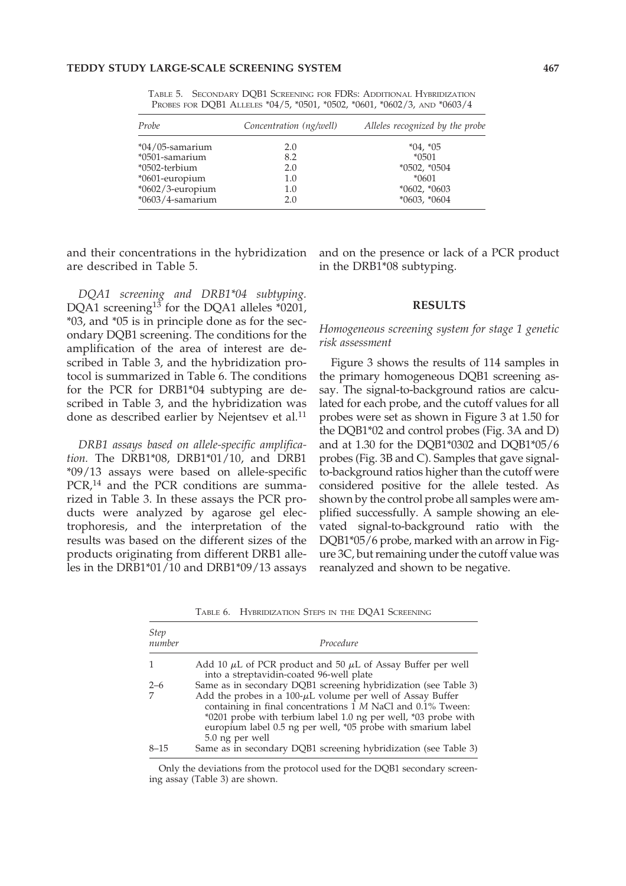TABLE 5. SECONDARY DQB1 SCREENING FOR FDRS: ADDITIONAL HYBRIDIZATION PROBES FOR DQB1 ALLELES \*04/5, \*0501, \*0502, \*0601, \*0602/3, AND \*0603/4

| Probe               | Concentration (ng/well) | Alleles recognized by the probe |
|---------------------|-------------------------|---------------------------------|
| $*04/05$ -samarium  | 2.0                     | $*04, *05$                      |
| *0501-samarium      | 8.2                     | $*0501$                         |
| *0502-terbium       | 2.0                     | $*0502, *0504$                  |
| *0601-europium      | 1.0                     | $*0601$                         |
| *0602/3-europium    | 1.0                     | $*0602, *0603$                  |
| $*0603/4$ -samarium | 2.0                     | $*0603, *0604$                  |

and their concentrations in the hybridization are described in Table 5.

*DQA1 screening and DRB1\*04 subtyping.* DQA1 screening<sup>13</sup> for the DQA1 alleles \*0201, \*03, and \*05 is in principle done as for the secondary DQB1 screening. The conditions for the amplification of the area of interest are described in Table 3, and the hybridization protocol is summarized in Table 6. The conditions for the PCR for DRB1\*04 subtyping are described in Table 3, and the hybridization was done as described earlier by Nejentsev et al.<sup>11</sup>

*DRB1 assays based on allele-specific amplification.* The DRB1\*08, DRB1\*01/10, and DRB1 \*09/13 assays were based on allele-specific PCR,<sup>14</sup> and the PCR conditions are summarized in Table 3. In these assays the PCR products were analyzed by agarose gel electrophoresis, and the interpretation of the results was based on the different sizes of the products originating from different DRB1 alleles in the DRB1\*01/10 and DRB1\*09/13 assays

and on the presence or lack of a PCR product in the DRB1\*08 subtyping.

# **RESULTS**

*Homogeneous screening system for stage 1 genetic risk assessment*

Figure 3 shows the results of 114 samples in the primary homogeneous DQB1 screening assay. The signal-to-background ratios are calculated for each probe, and the cutoff values for all probes were set as shown in Figure 3 at 1.50 for the DQB1\*02 and control probes (Fig. 3A and D) and at 1.30 for the DQB1\*0302 and DQB1\*05/6 probes (Fig. 3B and C). Samples that gave signalto-background ratios higher than the cutoff were considered positive for the allele tested. As shown by the control probe all samples were amplified successfully. A sample showing an elevated signal-to-background ratio with the DQB1\*05/6 probe, marked with an arrow in Figure  $3C$ , but remaining under the cutoff value was reanalyzed and shown to be negative.

TABLE 6. HYBRIDIZATION STEPS IN THE DQA1 SCREENING

| <b>Step</b><br>number | Procedure                                                                                                                                                                                                                                                                            |
|-----------------------|--------------------------------------------------------------------------------------------------------------------------------------------------------------------------------------------------------------------------------------------------------------------------------------|
|                       | Add 10 $\mu$ L of PCR product and 50 $\mu$ L of Assay Buffer per well<br>into a streptavidin-coated 96-well plate                                                                                                                                                                    |
| $2 - 6$               | Same as in secondary DQB1 screening hybridization (see Table 3)                                                                                                                                                                                                                      |
|                       | Add the probes in a 100- $\mu$ L volume per well of Assay Buffer<br>containing in final concentrations 1 M NaCl and 0.1% Tween:<br>*0201 probe with terbium label 1.0 ng per well, *03 probe with<br>europium label 0.5 ng per well, *05 probe with smarium label<br>5.0 ng per well |
| $8 - 15$              | Same as in secondary DQB1 screening hybridization (see Table 3)                                                                                                                                                                                                                      |

Only the deviations from the protocol used for the DQB1 secondary screening assay (Table 3) are shown.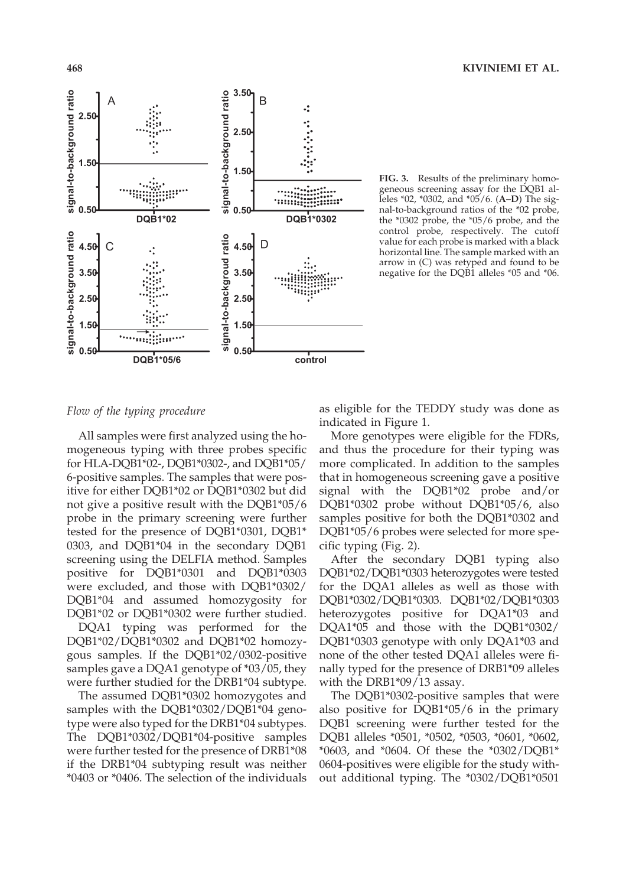



**FIG. 3.** Results of the preliminary homogeneous screening assay for the DQB1 alleles \*02, \*0302, and \*05/6. (**A–D**) The signal-to-background ratios of the \*02 probe, the \*0302 probe, the \*05/6 probe, and the control probe, respectively. The cutoff value for each probe is marked with a black horizontal line. The sample marked with an arrow in (C) was retyped and found to be negative for the DQB1 alleles \*05 and \*06.

# *Flow of the typing procedure*

All samples were first analyzed using the homogeneous typing with three probes specific for HLA-DQB1\*02-, DQB1\*0302-, and DQB1\*05/ 6-positive samples. The samples that were positive for either DQB1\*02 or DQB1\*0302 but did not give a positive result with the DQB1\*05/6 probe in the primary screening were further tested for the presence of DQB1\*0301, DQB1\* 0303, and DQB1\*04 in the secondary DQB1 screening using the DELFIA method. Samples positive for DQB1\*0301 and DQB1\*0303 were excluded, and those with DQB1\*0302/ DQB1\*04 and assumed homozygosity for DQB1\*02 or DQB1\*0302 were further studied.

DQA1 typing was performed for the DQB1\*02/DQB1\*0302 and DQB1\*02 homozygous samples. If the DQB1\*02/0302-positive samples gave a DQA1 genotype of \*03/05, they were further studied for the DRB1\*04 subtype.

The assumed DQB1\*0302 homozygotes and samples with the DQB1\*0302/DQB1\*04 genotype were also typed for the DRB1\*04 subtypes. The DQB1\*0302/DQB1\*04-positive samples were further tested for the presence of DRB1\*08 if the DRB1\*04 subtyping result was neither \*0403 or \*0406. The selection of the individuals

as eligible for the TEDDY study was done as indicated in Figure 1.

More genotypes were eligible for the FDRs, and thus the procedure for their typing was more complicated. In addition to the samples that in homogeneous screening gave a positive signal with the DQB1\*02 probe and/or DQB1\*0302 probe without DQB1\*05/6, also samples positive for both the DQB1\*0302 and DQB1\*05/6 probes were selected for more specific typing (Fig. 2).

After the secondary DQB1 typing also DQB1\*02/DQB1\*0303 heterozygotes were tested for the DQA1 alleles as well as those with DQB1\*0302/DQB1\*0303. DQB1\*02/DQB1\*0303 heterozygotes positive for DQA1\*03 and DQA1\*05 and those with the DQB1\*0302/ DQB1\*0303 genotype with only DQA1\*03 and none of the other tested DQA1 alleles were finally typed for the presence of DRB1\*09 alleles with the DRB1\*09/13 assay.

The DQB1\*0302-positive samples that were also positive for DQB1\*05/6 in the primary DQB1 screening were further tested for the DQB1 alleles \*0501, \*0502, \*0503, \*0601, \*0602, \*0603, and \*0604. Of these the \*0302/DQB1\* 0604-positives were eligible for the study without additional typing. The \*0302/DQB1\*0501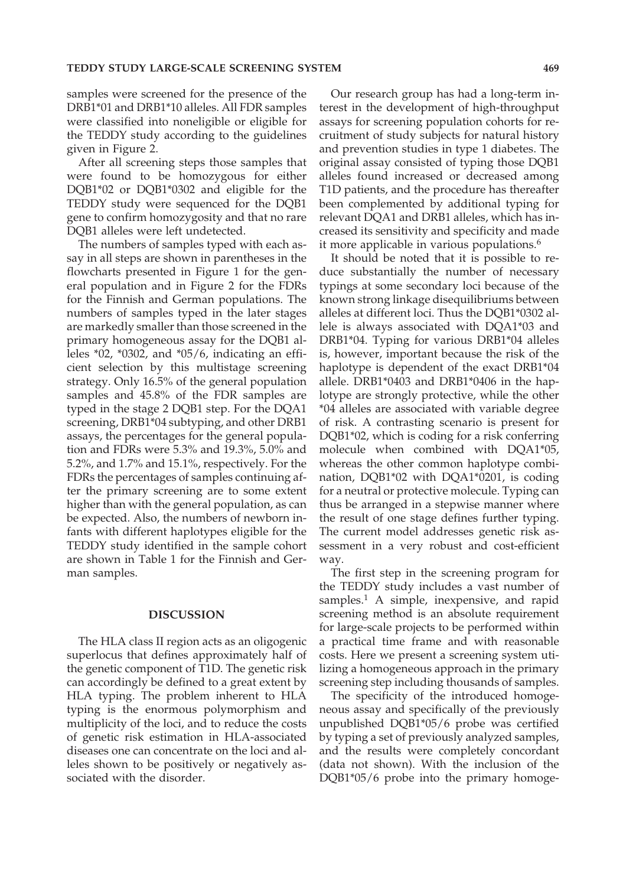samples were screened for the presence of the DRB1\*01 and DRB1\*10 alleles. All FDR samples were classified into noneligible or eligible for the TEDDY study according to the guidelines given in Figure 2.

After all screening steps those samples that were found to be homozygous for either DQB1\*02 or DQB1\*0302 and eligible for the TEDDY study were sequenced for the DQB1 gene to confirm homozygosity and that no rare DQB1 alleles were left undetected.

The numbers of samples typed with each assay in all steps are shown in parentheses in the flowcharts presented in Figure 1 for the general population and in Figure 2 for the FDRs for the Finnish and German populations. The numbers of samples typed in the later stages are markedly smaller than those screened in the primary homogeneous assay for the DQB1 alleles \*02, \*0302, and \*05/6, indicating an efficient selection by this multistage screening strategy. Only 16.5% of the general population samples and 45.8% of the FDR samples are typed in the stage 2 DQB1 step. For the DQA1 screening, DRB1\*04 subtyping, and other DRB1 assays, the percentages for the general population and FDRs were 5.3% and 19.3%, 5.0% and 5.2%, and 1.7% and 15.1%, respectively. For the FDRs the percentages of samples continuing after the primary screening are to some extent higher than with the general population, as can be expected. Also, the numbers of newborn infants with different haplotypes eligible for the TEDDY study identified in the sample cohort are shown in Table 1 for the Finnish and German samples.

# **DISCUSSION**

The HLA class II region acts as an oligogenic superlocus that defines approximately half of the genetic component of T1D. The genetic risk can accordingly be defined to a great extent by HLA typing. The problem inherent to HLA typing is the enormous polymorphism and multiplicity of the loci, and to reduce the costs of genetic risk estimation in HLA-associated diseases one can concentrate on the loci and alleles shown to be positively or negatively associated with the disorder.

Our research group has had a long-term interest in the development of high-throughput assays for screening population cohorts for recruitment of study subjects for natural history and prevention studies in type 1 diabetes. The original assay consisted of typing those DQB1 alleles found increased or decreased among T1D patients, and the procedure has thereafter been complemented by additional typing for relevant DQA1 and DRB1 alleles, which has increased its sensitivity and specificity and made it more applicable in various populations.<sup>6</sup>

It should be noted that it is possible to reduce substantially the number of necessary typings at some secondary loci because of the known strong linkage disequilibriums between alleles at different loci. Thus the DQB1\*0302 allele is always associated with DQA1\*03 and DRB1\*04. Typing for various DRB1\*04 alleles is, however, important because the risk of the haplotype is dependent of the exact DRB1\*04 allele. DRB1\*0403 and DRB1\*0406 in the haplotype are strongly protective, while the other \*04 alleles are associated with variable degree of risk. A contrasting scenario is present for DQB1\*02, which is coding for a risk conferring molecule when combined with DQA1\*05, whereas the other common haplotype combination, DQB1\*02 with DQA1\*0201, is coding for a neutral or protective molecule. Typing can thus be arranged in a stepwise manner where the result of one stage defines further typing. The current model addresses genetic risk assessment in a very robust and cost-efficient way.

The first step in the screening program for the TEDDY study includes a vast number of samples.<sup>1</sup> A simple, inexpensive, and rapid screening method is an absolute requirement for large-scale projects to be performed within a practical time frame and with reasonable costs. Here we present a screening system utilizing a homogeneous approach in the primary screening step including thousands of samples.

The specificity of the introduced homogeneous assay and specifically of the previously unpublished DQB1\*05/6 probe was certified by typing a set of previously analyzed samples, and the results were completely concordant (data not shown). With the inclusion of the DQB1\*05/6 probe into the primary homoge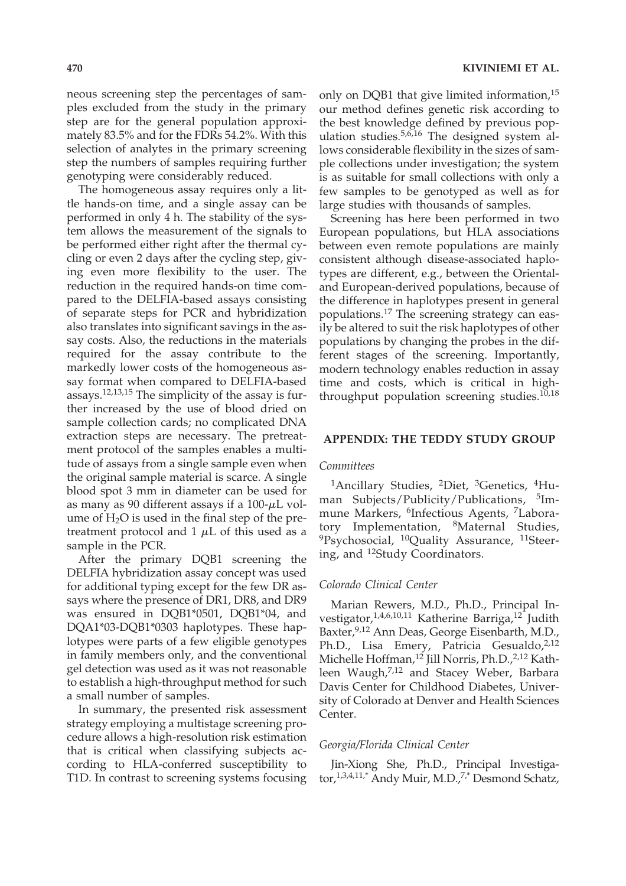neous screening step the percentages of samples excluded from the study in the primary step are for the general population approximately 83.5% and for the FDRs 54.2%. With this selection of analytes in the primary screening step the numbers of samples requiring further genotyping were considerably reduced.

The homogeneous assay requires only a little hands-on time, and a single assay can be performed in only 4 h. The stability of the system allows the measurement of the signals to be performed either right after the thermal cycling or even 2 days after the cycling step, giving even more flexibility to the user. The reduction in the required hands-on time compared to the DELFIA-based assays consisting of separate steps for PCR and hybridization also translates into significant savings in the assay costs. Also, the reductions in the materials required for the assay contribute to the markedly lower costs of the homogeneous assay format when compared to DELFIA-based assays.12,13,15 The simplicity of the assay is further increased by the use of blood dried on sample collection cards; no complicated DNA extraction steps are necessary. The pretreatment protocol of the samples enables a multitude of assays from a single sample even when the original sample material is scarce. A single blood spot 3 mm in diameter can be used for as many as 90 different assays if a  $100-\mu L$  volume of  $H_2O$  is used in the final step of the pretreatment protocol and  $1 \mu L$  of this used as a sample in the PCR.

After the primary DQB1 screening the DELFIA hybridization assay concept was used for additional typing except for the few DR assays where the presence of DR1, DR8, and DR9 was ensured in DQB1\*0501, DQB1\*04, and DQA1\*03-DQB1\*0303 haplotypes. These haplotypes were parts of a few eligible genotypes in family members only, and the conventional gel detection was used as it was not reasonable to establish a high-throughput method for such a small number of samples.

In summary, the presented risk assessment strategy employing a multistage screening procedure allows a high-resolution risk estimation that is critical when classifying subjects according to HLA-conferred susceptibility to T1D. In contrast to screening systems focusing

only on DQB1 that give limited information,<sup>15</sup> our method defines genetic risk according to the best knowledge defined by previous population studies.5,6,16 The designed system allows considerable flexibility in the sizes of sample collections under investigation; the system is as suitable for small collections with only a few samples to be genotyped as well as for large studies with thousands of samples.

Screening has here been performed in two European populations, but HLA associations between even remote populations are mainly consistent although disease-associated haplotypes are different, e.g., between the Orientaland European-derived populations, because of the difference in haplotypes present in general populations.17 The screening strategy can easily be altered to suit the risk haplotypes of other populations by changing the probes in the different stages of the screening. Importantly, modern technology enables reduction in assay time and costs, which is critical in highthroughput population screening studies. $10,18$ 

#### **APPENDIX: THE TEDDY STUDY GROUP**

## *Committees*

<sup>1</sup>Ancillary Studies, <sup>2</sup>Diet, <sup>3</sup>Genetics, <sup>4</sup>Human Subjects/Publicity/Publications, <sup>5</sup>Immune Markers, <sup>6</sup>Infectious Agents, <sup>7</sup>Laboratory Implementation, 8Maternal Studies,  $^{9}$ Psychosocial,  $^{10}$ Quality Assurance,  $^{11}$ Steering, and 12Study Coordinators.

#### *Colorado Clinical Center*

Marian Rewers, M.D., Ph.D., Principal Investigator,  $1,4,6,10,11$  Katherine Barriga,  $12$  Judith Baxter,9,12 Ann Deas, George Eisenbarth, M.D., Ph.D., Lisa Emery, Patricia Gesualdo,<sup>2,12</sup> Michelle Hoffman,<sup>12</sup> Jill Norris, Ph.D.,<sup>2,12</sup> Kathleen Waugh,<sup>7,12</sup> and Stacey Weber, Barbara Davis Center for Childhood Diabetes, University of Colorado at Denver and Health Sciences Center.

#### *Georgia/Florida Clinical Center*

Jin-Xiong She, Ph.D., Principal Investigator,<sup>1,3,4,11,\*</sup> Andy Muir, M.D.,<sup>7,\*</sup> Desmond Schatz,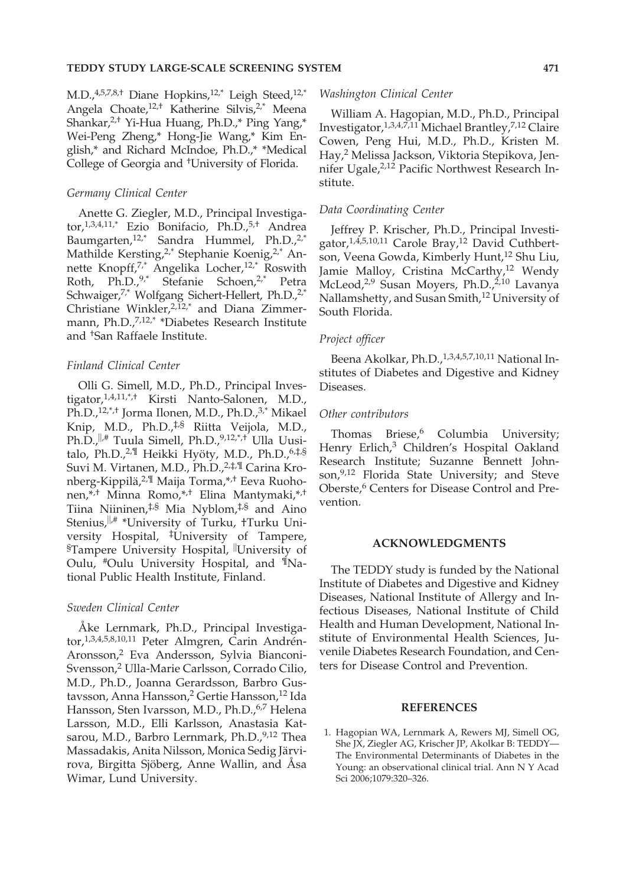# **TEDDY STUDY LARGE-SCALE SCREENING SYSTEM 471**

M.D.,<sup>4,5,7,8,†</sup> Diane Hopkins,<sup>12,\*</sup> Leigh Steed,<sup>12,\*</sup> Angela Choate,<sup>12,†</sup> Katherine Silvis,<sup>2,\*</sup> Meena Shankar, 2,† Yi-Hua Huang, Ph.D.,\* Ping Yang,\* Wei-Peng Zheng,\* Hong-Jie Wang,\* Kim English,\* and Richard McIndoe, Ph.D.,\* \*Medical College of Georgia and †University of Florida.

# *Germany Clinical Center*

Anette G. Ziegler, M.D., Principal Investigator,  $^{1,3,4,11,*}$  Ezio Bonifacio, Ph.D.,  $^{5,+}$  Andrea Baumgarten, $12^*$  Sandra Hummel, Ph.D., $2^*$ Mathilde Kersting,<sup>2,\*</sup> Stephanie Koenig,<sup>2,\*</sup> Annette Knopff,<sup>7,\*</sup> Angelika Locher,<sup>12,\*</sup> Roswith Roth, Ph.D.,<sup>9,\*</sup> Stefanie Schoen,<sup>2,\*</sup> Petra Schwaiger,<sup>7,\*</sup> Wolfgang Sichert-Hellert, Ph.D.,<sup>2,\*</sup> Christiane Winkler, $2,12,4$ <sup>\*</sup> and Diana Zimmermann, Ph.D.,<sup>7,12,\*</sup> \*Diabetes Research Institute and †San Raffaele Institute.

# *Finland Clinical Center*

Olli G. Simell, M.D., Ph.D., Principal Investigator,1,4,11,\*,† Kirsti Nanto-Salonen, M.D., Ph.D.,<sup>12,\*,†</sup> Jorma Ilonen, M.D., Ph.D.,<sup>3,\*</sup> Mikael Knip, M.D., Ph.D.,‡,§ Riitta Veijola, M.D., Ph.D., <sup>||,#</sup> Tuula Simell, Ph.D., <sup>9,12,\*,+</sup> Ulla Uusitalo, Ph.D.,<sup>2,¶</sup> Heikki Hyöty, M.D., Ph.D.,<sup>6,‡,§</sup> Suvi M. Virtanen, M.D., Ph.D.,2,‡,¶ Carina Kronberg-Kippilä,2,¶ Maija Torma,\*,† Eeva Ruohonen,\*,† Minna Romo,\*,† Elina Mantymaki,\*,† Tiina Niininen, $\frac{1}{5}$  Mia Nyblom, $\frac{1}{5}$  and Aino Stenius, <sup>||,#</sup> \*University of Turku, †Turku University Hospital, ‡University of Tampere, <sup>§</sup>Tampere University Hospital, <sup>||</sup>University of Oulu, #Oulu University Hospital, and ¶National Public Health Institute, Finland.

### *Sweden Clinical Center*

Åke Lernmark, Ph.D., Principal Investigator,1,3,4,5,8,10,11 Peter Almgren, Carin Andrén-Aronsson,2 Eva Andersson, Sylvia Bianconi-Svensson,2 Ulla-Marie Carlsson, Corrado Cilio, M.D., Ph.D., Joanna Gerardsson, Barbro Gustavsson, Anna Hansson,<sup>2</sup> Gertie Hansson,<sup>12</sup> Ida Hansson, Sten Ivarsson, M.D., Ph.D., 6,7 Helena Larsson, M.D., Elli Karlsson, Anastasia Katsarou, M.D., Barbro Lernmark, Ph.D.,<sup>9,12</sup> Thea Massadakis, Anita Nilsson, Monica Sedig Järvirova, Birgitta Sjöberg, Anne Wallin, and Åsa Wimar, Lund University.

#### *Washington Clinical Center*

William A. Hagopian, M.D., Ph.D., Principal Investigator,  $^{1,3,4,7,11}$  Michael Brantley,  $^{7,12}$  Claire Cowen, Peng Hui, M.D., Ph.D., Kristen M. Hay,2 Melissa Jackson, Viktoria Stepikova, Jennifer Ugale,2,12 Pacific Northwest Research Institute.

# *Data Coordinating Center*

Jeffrey P. Krischer, Ph.D., Principal Investigator,<sup>1,4,5,10,11</sup> Carole Bray,<sup>12</sup> David Cuthbertson, Veena Gowda, Kimberly Hunt,<sup>12</sup> Shu Liu, Jamie Malloy, Cristina McCarthy,<sup>12</sup> Wendy McLeod,<sup>2,9</sup> Susan Moyers, Ph.D.,<sup>2,10</sup> Lavanya Nallamshetty, and Susan Smith,12 University of South Florida.

### *Project officer*

Beena Akolkar, Ph.D.,<sup>1,3,4,5,7,10,11</sup> National Institutes of Diabetes and Digestive and Kidney Diseases.

#### *Other contributors*

Thomas Briese,<sup>6</sup> Columbia University; Henry Erlich,<sup>3</sup> Children's Hospital Oakland Research Institute; Suzanne Bennett Johnson,<sup>9,12</sup> Florida State University; and Steve Oberste,<sup>6</sup> Centers for Disease Control and Prevention.

# **ACKNOWLEDGMENTS**

The TEDDY study is funded by the National Institute of Diabetes and Digestive and Kidney Diseases, National Institute of Allergy and Infectious Diseases, National Institute of Child Health and Human Development, National Institute of Environmental Health Sciences, Juvenile Diabetes Research Foundation, and Centers for Disease Control and Prevention.

## **REFERENCES**

1. Hagopian WA, Lernmark A, Rewers MJ, Simell OG, She JX, Ziegler AG, Krischer JP, Akolkar B: TEDDY— The Environmental Determinants of Diabetes in the Young: an observational clinical trial. Ann N Y Acad Sci 2006;1079:320–326.